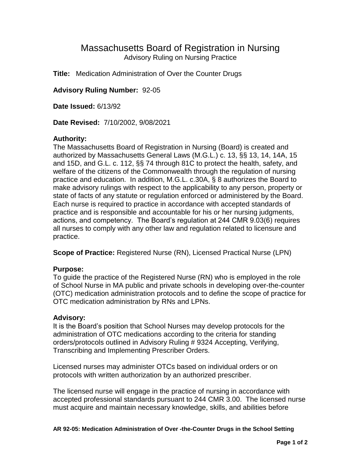# Massachusetts Board of Registration in Nursing Advisory Ruling on Nursing Practice

**Title:** Medication Administration of Over the Counter Drugs

**Advisory Ruling Number:** 92-05

**Date Issued:** 6/13/92

**Date Revised:** 7/10/2002, 9/08/2021

## **Authority:**

The Massachusetts Board of Registration in Nursing (Board) is created and authorized by Massachusetts General Laws (M.G.L.) c. 13, §§ 13, 14, 14A, 15 and 15D, and G.L. c. 112, §§ 74 through 81C to protect the health, safety, and welfare of the citizens of the Commonwealth through the regulation of nursing practice and education. In addition, M.G.L. c.30A, § 8 authorizes the Board to make advisory rulings with respect to the applicability to any person, property or state of facts of any statute or regulation enforced or administered by the Board. Each nurse is required to practice in accordance with accepted standards of practice and is responsible and accountable for his or her nursing judgments, actions, and competency. The Board's regulation at 244 CMR 9.03(6) requires all nurses to comply with any other law and regulation related to licensure and practice.

**Scope of Practice:** Registered Nurse (RN), Licensed Practical Nurse (LPN)

## **Purpose:**

To guide the practice of the Registered Nurse (RN) who is employed in the role of School Nurse in MA public and private schools in developing over-the-counter (OTC) medication administration protocols and to define the scope of practice for OTC medication administration by RNs and LPNs.

## **Advisory:**

It is the Board's position that School Nurses may develop protocols for the administration of OTC medications according to the criteria for standing orders/protocols outlined in Advisory Ruling # 9324 Accepting, Verifying, Transcribing and Implementing Prescriber Orders.

Licensed nurses may administer OTCs based on individual orders or on protocols with written authorization by an authorized prescriber.

The licensed nurse will engage in the practice of nursing in accordance with accepted professional standards pursuant to 244 CMR 3.00. The licensed nurse must acquire and maintain necessary knowledge, skills, and abilities before